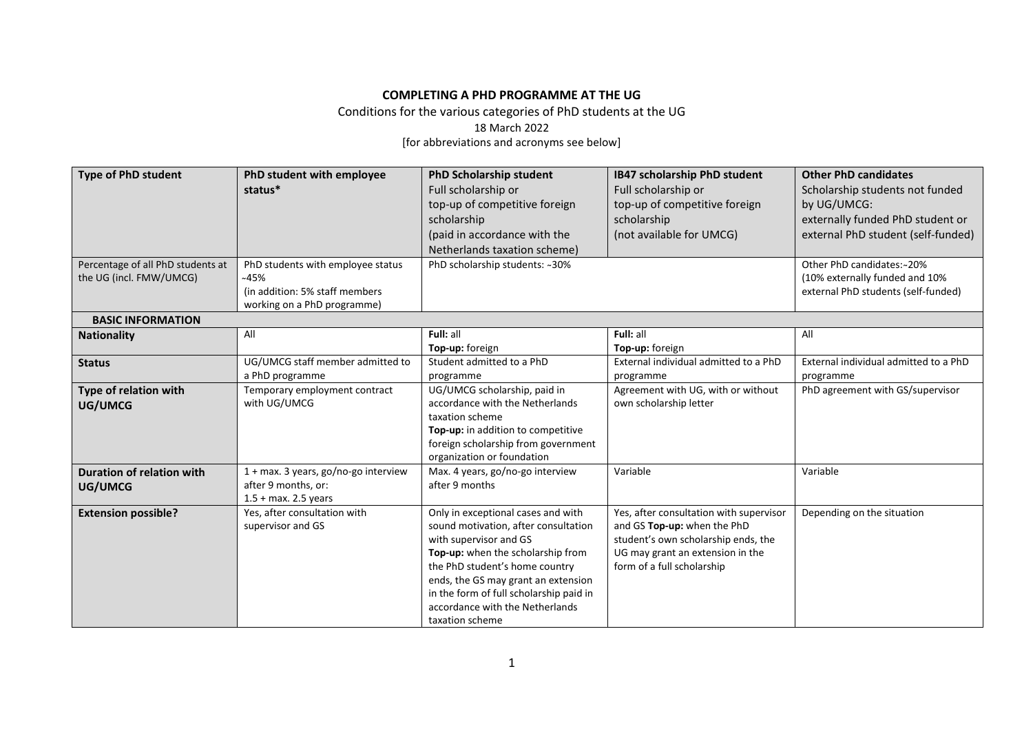## **COMPLETING A PHD PROGRAMME AT THE UG**

Conditions for the various categories of PhD students at the UG

18 March 2022

[for abbreviations and acronyms see below]

| <b>Type of PhD student</b>        | PhD student with employee            | <b>PhD Scholarship student</b>                                            | IB47 scholarship PhD student            | <b>Other PhD candidates</b>           |
|-----------------------------------|--------------------------------------|---------------------------------------------------------------------------|-----------------------------------------|---------------------------------------|
|                                   | status*                              | Full scholarship or                                                       | Full scholarship or                     | Scholarship students not funded       |
|                                   |                                      | top-up of competitive foreign                                             | top-up of competitive foreign           | by UG/UMCG:                           |
|                                   |                                      | scholarship                                                               | scholarship                             | externally funded PhD student or      |
|                                   |                                      | (paid in accordance with the                                              | (not available for UMCG)                | external PhD student (self-funded)    |
|                                   |                                      | Netherlands taxation scheme)                                              |                                         |                                       |
| Percentage of all PhD students at | PhD students with employee status    | PhD scholarship students: ~30%                                            |                                         | Other PhD candidates:~20%             |
| the UG (incl. FMW/UMCG)           | ~145%                                |                                                                           |                                         | (10% externally funded and 10%        |
|                                   | (in addition: 5% staff members)      |                                                                           |                                         | external PhD students (self-funded)   |
|                                   | working on a PhD programme)          |                                                                           |                                         |                                       |
| <b>BASIC INFORMATION</b>          |                                      |                                                                           |                                         |                                       |
| <b>Nationality</b>                | All                                  | Full: all                                                                 | Full: all                               | All                                   |
|                                   |                                      | Top-up: foreign                                                           | Top-up: foreign                         |                                       |
| <b>Status</b>                     | UG/UMCG staff member admitted to     | Student admitted to a PhD                                                 | External individual admitted to a PhD   | External individual admitted to a PhD |
|                                   | a PhD programme                      | programme                                                                 | programme                               | programme                             |
| Type of relation with             | Temporary employment contract        | UG/UMCG scholarship, paid in                                              | Agreement with UG, with or without      | PhD agreement with GS/supervisor      |
| UG/UMCG                           | with UG/UMCG                         | accordance with the Netherlands                                           | own scholarship letter                  |                                       |
|                                   |                                      | taxation scheme                                                           |                                         |                                       |
|                                   |                                      | Top-up: in addition to competitive<br>foreign scholarship from government |                                         |                                       |
|                                   |                                      | organization or foundation                                                |                                         |                                       |
| <b>Duration of relation with</b>  | 1 + max. 3 years, go/no-go interview | Max. 4 years, go/no-go interview                                          | Variable                                | Variable                              |
| UG/UMCG                           | after 9 months, or:                  | after 9 months                                                            |                                         |                                       |
|                                   | $1.5 + \text{max}$ . 2.5 years       |                                                                           |                                         |                                       |
| <b>Extension possible?</b>        | Yes, after consultation with         | Only in exceptional cases and with                                        | Yes, after consultation with supervisor | Depending on the situation            |
|                                   | supervisor and GS                    | sound motivation, after consultation                                      | and GS Top-up: when the PhD             |                                       |
|                                   |                                      | with supervisor and GS                                                    | student's own scholarship ends, the     |                                       |
|                                   |                                      | Top-up: when the scholarship from                                         | UG may grant an extension in the        |                                       |
|                                   |                                      | the PhD student's home country                                            | form of a full scholarship              |                                       |
|                                   |                                      | ends, the GS may grant an extension                                       |                                         |                                       |
|                                   |                                      | in the form of full scholarship paid in                                   |                                         |                                       |
|                                   |                                      | accordance with the Netherlands                                           |                                         |                                       |
|                                   |                                      | taxation scheme                                                           |                                         |                                       |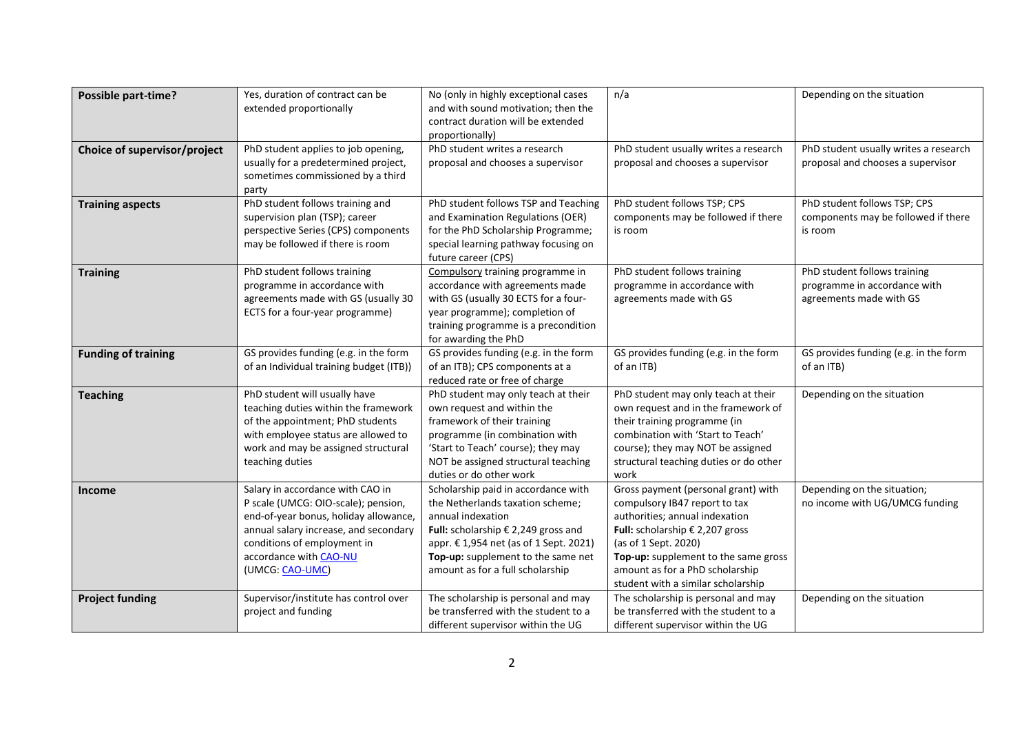| <b>Possible part-time?</b>   | Yes, duration of contract can be        | No (only in highly exceptional cases                           | n/a                                            | Depending on the situation            |
|------------------------------|-----------------------------------------|----------------------------------------------------------------|------------------------------------------------|---------------------------------------|
|                              | extended proportionally                 | and with sound motivation; then the                            |                                                |                                       |
|                              |                                         | contract duration will be extended                             |                                                |                                       |
|                              |                                         | proportionally)                                                |                                                |                                       |
| Choice of supervisor/project | PhD student applies to job opening,     | PhD student writes a research                                  | PhD student usually writes a research          | PhD student usually writes a research |
|                              | usually for a predetermined project,    | proposal and chooses a supervisor                              | proposal and chooses a supervisor              | proposal and chooses a supervisor     |
|                              | sometimes commissioned by a third       |                                                                |                                                |                                       |
|                              | party                                   |                                                                |                                                |                                       |
| <b>Training aspects</b>      | PhD student follows training and        | PhD student follows TSP and Teaching                           | PhD student follows TSP; CPS                   | PhD student follows TSP; CPS          |
|                              | supervision plan (TSP); career          | and Examination Regulations (OER)                              | components may be followed if there            | components may be followed if there   |
|                              | perspective Series (CPS) components     | for the PhD Scholarship Programme;                             | is room                                        | is room                               |
|                              | may be followed if there is room        | special learning pathway focusing on                           |                                                |                                       |
|                              |                                         | future career (CPS)                                            |                                                |                                       |
| <b>Training</b>              | PhD student follows training            | Compulsory training programme in                               | PhD student follows training                   | PhD student follows training          |
|                              | programme in accordance with            | accordance with agreements made                                | programme in accordance with                   | programme in accordance with          |
|                              | agreements made with GS (usually 30     | with GS (usually 30 ECTS for a four-                           | agreements made with GS                        | agreements made with GS               |
|                              | ECTS for a four-year programme)         | year programme); completion of                                 |                                                |                                       |
|                              |                                         | training programme is a precondition                           |                                                |                                       |
|                              |                                         | for awarding the PhD                                           |                                                |                                       |
| <b>Funding of training</b>   | GS provides funding (e.g. in the form   | GS provides funding (e.g. in the form                          | GS provides funding (e.g. in the form          | GS provides funding (e.g. in the form |
|                              | of an Individual training budget (ITB)) | of an ITB); CPS components at a                                | of an ITB)                                     | of an ITB)                            |
|                              |                                         | reduced rate or free of charge                                 |                                                |                                       |
| <b>Teaching</b>              | PhD student will usually have           | PhD student may only teach at their                            | PhD student may only teach at their            | Depending on the situation            |
|                              | teaching duties within the framework    | own request and within the                                     | own request and in the framework of            |                                       |
|                              | of the appointment; PhD students        | framework of their training                                    | their training programme (in                   |                                       |
|                              | with employee status are allowed to     | programme (in combination with                                 | combination with 'Start to Teach'              |                                       |
|                              | work and may be assigned structural     | 'Start to Teach' course); they may                             | course); they may NOT be assigned              |                                       |
|                              | teaching duties                         | NOT be assigned structural teaching<br>duties or do other work | structural teaching duties or do other<br>work |                                       |
| Income                       | Salary in accordance with CAO in        | Scholarship paid in accordance with                            | Gross payment (personal grant) with            | Depending on the situation;           |
|                              | P scale (UMCG: OIO-scale); pension,     | the Netherlands taxation scheme;                               | compulsory IB47 report to tax                  | no income with UG/UMCG funding        |
|                              | end-of-year bonus, holiday allowance,   | annual indexation                                              | authorities; annual indexation                 |                                       |
|                              | annual salary increase, and secondary   | Full: scholarship € 2,249 gross and                            | Full: scholarship € 2,207 gross                |                                       |
|                              | conditions of employment in             | appr. € 1,954 net (as of 1 Sept. 2021)                         | (as of 1 Sept. 2020)                           |                                       |
|                              | accordance with CAO-NU                  | Top-up: supplement to the same net                             | Top-up: supplement to the same gross           |                                       |
|                              | (UMCG: CAO-UMC)                         | amount as for a full scholarship                               | amount as for a PhD scholarship                |                                       |
|                              |                                         |                                                                | student with a similar scholarship             |                                       |
| <b>Project funding</b>       | Supervisor/institute has control over   | The scholarship is personal and may                            | The scholarship is personal and may            | Depending on the situation            |
|                              | project and funding                     | be transferred with the student to a                           | be transferred with the student to a           |                                       |
|                              |                                         | different supervisor within the UG                             | different supervisor within the UG             |                                       |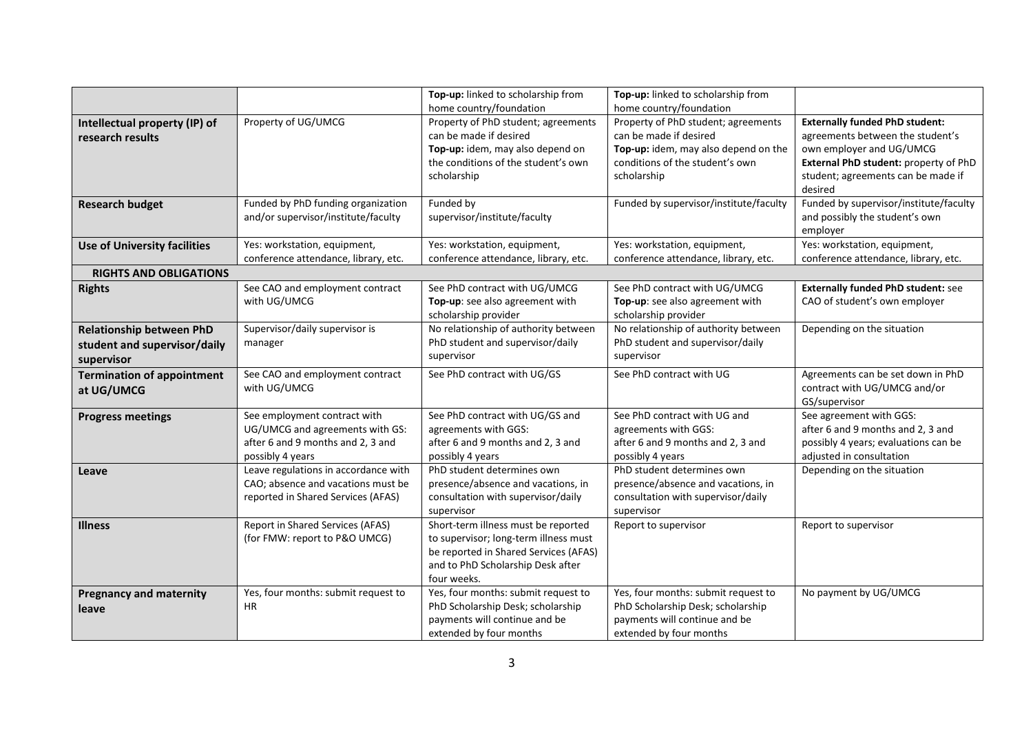|                                                                               |                                                                                                                          | Top-up: linked to scholarship from                                                                                                                                                 | Top-up: linked to scholarship from                                                                                                                                                 |                                                                                                                                                                                                 |
|-------------------------------------------------------------------------------|--------------------------------------------------------------------------------------------------------------------------|------------------------------------------------------------------------------------------------------------------------------------------------------------------------------------|------------------------------------------------------------------------------------------------------------------------------------------------------------------------------------|-------------------------------------------------------------------------------------------------------------------------------------------------------------------------------------------------|
| Intellectual property (IP) of<br>research results                             | Property of UG/UMCG                                                                                                      | home country/foundation<br>Property of PhD student; agreements<br>can be made if desired<br>Top-up: idem, may also depend on<br>the conditions of the student's own<br>scholarship | home country/foundation<br>Property of PhD student; agreements<br>can be made if desired<br>Top-up: idem, may also depend on the<br>conditions of the student's own<br>scholarship | <b>Externally funded PhD student:</b><br>agreements between the student's<br>own employer and UG/UMCG<br>External PhD student: property of PhD<br>student; agreements can be made if<br>desired |
| <b>Research budget</b>                                                        | Funded by PhD funding organization<br>and/or supervisor/institute/faculty                                                | Funded by<br>supervisor/institute/faculty                                                                                                                                          | Funded by supervisor/institute/faculty                                                                                                                                             | Funded by supervisor/institute/faculty<br>and possibly the student's own<br>employer                                                                                                            |
| <b>Use of University facilities</b><br><b>RIGHTS AND OBLIGATIONS</b>          | Yes: workstation, equipment,<br>conference attendance, library, etc.                                                     | Yes: workstation, equipment,<br>conference attendance, library, etc.                                                                                                               | Yes: workstation, equipment,<br>conference attendance, library, etc.                                                                                                               | Yes: workstation, equipment,<br>conference attendance, library, etc.                                                                                                                            |
| <b>Rights</b>                                                                 | See CAO and employment contract<br>with UG/UMCG                                                                          | See PhD contract with UG/UMCG<br>Top-up: see also agreement with<br>scholarship provider                                                                                           | See PhD contract with UG/UMCG<br>Top-up: see also agreement with<br>scholarship provider                                                                                           | <b>Externally funded PhD student: see</b><br>CAO of student's own employer                                                                                                                      |
| <b>Relationship between PhD</b><br>student and supervisor/daily<br>supervisor | Supervisor/daily supervisor is<br>manager                                                                                | No relationship of authority between<br>PhD student and supervisor/daily<br>supervisor                                                                                             | No relationship of authority between<br>PhD student and supervisor/daily<br>supervisor                                                                                             | Depending on the situation                                                                                                                                                                      |
| <b>Termination of appointment</b><br>at UG/UMCG                               | See CAO and employment contract<br>with UG/UMCG                                                                          | See PhD contract with UG/GS                                                                                                                                                        | See PhD contract with UG                                                                                                                                                           | Agreements can be set down in PhD<br>contract with UG/UMCG and/or<br>GS/supervisor                                                                                                              |
| <b>Progress meetings</b>                                                      | See employment contract with<br>UG/UMCG and agreements with GS:<br>after 6 and 9 months and 2, 3 and<br>possibly 4 years | See PhD contract with UG/GS and<br>agreements with GGS:<br>after 6 and 9 months and 2, 3 and<br>possibly 4 years                                                                   | See PhD contract with UG and<br>agreements with GGS:<br>after 6 and 9 months and 2, 3 and<br>possibly 4 years                                                                      | See agreement with GGS:<br>after 6 and 9 months and 2, 3 and<br>possibly 4 years; evaluations can be<br>adjusted in consultation                                                                |
| Leave                                                                         | Leave regulations in accordance with<br>CAO; absence and vacations must be<br>reported in Shared Services (AFAS)         | PhD student determines own<br>presence/absence and vacations, in<br>consultation with supervisor/daily<br>supervisor                                                               | PhD student determines own<br>presence/absence and vacations, in<br>consultation with supervisor/daily<br>supervisor                                                               | Depending on the situation                                                                                                                                                                      |
| <b>Illness</b>                                                                | Report in Shared Services (AFAS)<br>(for FMW: report to P&O UMCG)                                                        | Short-term illness must be reported<br>to supervisor; long-term illness must<br>be reported in Shared Services (AFAS)<br>and to PhD Scholarship Desk after<br>four weeks.          | Report to supervisor                                                                                                                                                               | Report to supervisor                                                                                                                                                                            |
| <b>Pregnancy and maternity</b><br>leave                                       | Yes, four months: submit request to<br><b>HR</b>                                                                         | Yes, four months: submit request to<br>PhD Scholarship Desk; scholarship<br>payments will continue and be<br>extended by four months                                               | Yes, four months: submit request to<br>PhD Scholarship Desk; scholarship<br>payments will continue and be<br>extended by four months                                               | No payment by UG/UMCG                                                                                                                                                                           |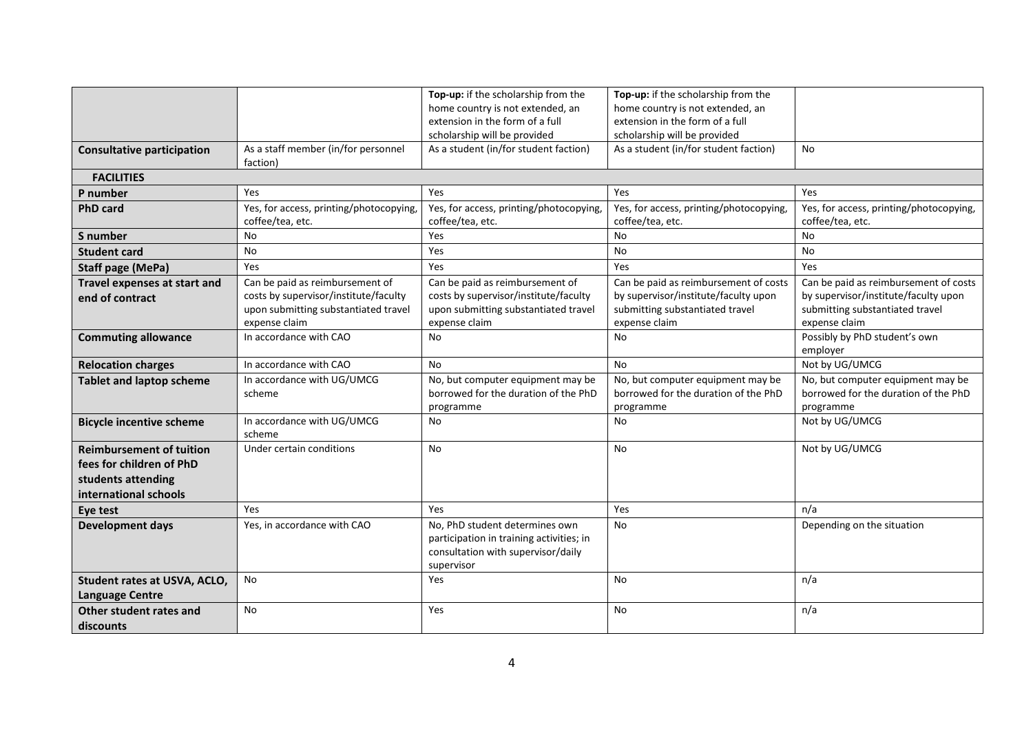|                                   |                                         | Top-up: if the scholarship from the      | Top-up: if the scholarship from the     |                                         |
|-----------------------------------|-----------------------------------------|------------------------------------------|-----------------------------------------|-----------------------------------------|
|                                   |                                         | home country is not extended, an         | home country is not extended, an        |                                         |
|                                   |                                         | extension in the form of a full          | extension in the form of a full         |                                         |
|                                   |                                         | scholarship will be provided             | scholarship will be provided            |                                         |
| <b>Consultative participation</b> | As a staff member (in/for personnel     | As a student (in/for student faction)    | As a student (in/for student faction)   | No                                      |
|                                   | faction)                                |                                          |                                         |                                         |
| <b>FACILITIES</b>                 |                                         |                                          |                                         |                                         |
| P number                          | Yes                                     | Yes                                      | Yes                                     | Yes                                     |
| <b>PhD card</b>                   | Yes, for access, printing/photocopying, | Yes, for access, printing/photocopying,  | Yes, for access, printing/photocopying, | Yes, for access, printing/photocopying, |
|                                   | coffee/tea, etc.                        | coffee/tea, etc.                         | coffee/tea, etc.                        | coffee/tea, etc.                        |
| S number                          | No                                      | Yes                                      | <b>No</b>                               | No                                      |
| <b>Student card</b>               | No                                      | Yes                                      | No                                      | No                                      |
| <b>Staff page (MePa)</b>          | Yes                                     | Yes                                      | Yes                                     | Yes                                     |
| Travel expenses at start and      | Can be paid as reimbursement of         | Can be paid as reimbursement of          | Can be paid as reimbursement of costs   | Can be paid as reimbursement of costs   |
| end of contract                   | costs by supervisor/institute/faculty   | costs by supervisor/institute/faculty    | by supervisor/institute/faculty upon    | by supervisor/institute/faculty upon    |
|                                   | upon submitting substantiated travel    | upon submitting substantiated travel     | submitting substantiated travel         | submitting substantiated travel         |
|                                   | expense claim                           | expense claim                            | expense claim                           | expense claim                           |
| <b>Commuting allowance</b>        | In accordance with CAO                  | <b>No</b>                                | <b>No</b>                               | Possibly by PhD student's own           |
|                                   |                                         |                                          |                                         | employer                                |
| <b>Relocation charges</b>         | In accordance with CAO                  | No                                       | No                                      | Not by UG/UMCG                          |
| <b>Tablet and laptop scheme</b>   | In accordance with UG/UMCG              | No, but computer equipment may be        | No, but computer equipment may be       | No, but computer equipment may be       |
|                                   | scheme                                  | borrowed for the duration of the PhD     | borrowed for the duration of the PhD    | borrowed for the duration of the PhD    |
|                                   |                                         | programme                                | programme                               | programme                               |
| <b>Bicycle incentive scheme</b>   | In accordance with UG/UMCG              | No                                       | No                                      | Not by UG/UMCG                          |
|                                   | scheme                                  |                                          |                                         |                                         |
| <b>Reimbursement of tuition</b>   | Under certain conditions                | No                                       | No                                      | Not by UG/UMCG                          |
| fees for children of PhD          |                                         |                                          |                                         |                                         |
| students attending                |                                         |                                          |                                         |                                         |
| international schools             |                                         |                                          |                                         |                                         |
| Eye test                          | Yes                                     | Yes                                      | Yes                                     | n/a                                     |
| <b>Development days</b>           | Yes, in accordance with CAO             | No, PhD student determines own           | No                                      | Depending on the situation              |
|                                   |                                         | participation in training activities; in |                                         |                                         |
|                                   |                                         | consultation with supervisor/daily       |                                         |                                         |
|                                   |                                         | supervisor                               |                                         |                                         |
| Student rates at USVA, ACLO,      | No                                      | Yes                                      | <b>No</b>                               | n/a                                     |
| <b>Language Centre</b>            |                                         |                                          |                                         |                                         |
| Other student rates and           | No                                      | Yes                                      | No                                      | n/a                                     |
| discounts                         |                                         |                                          |                                         |                                         |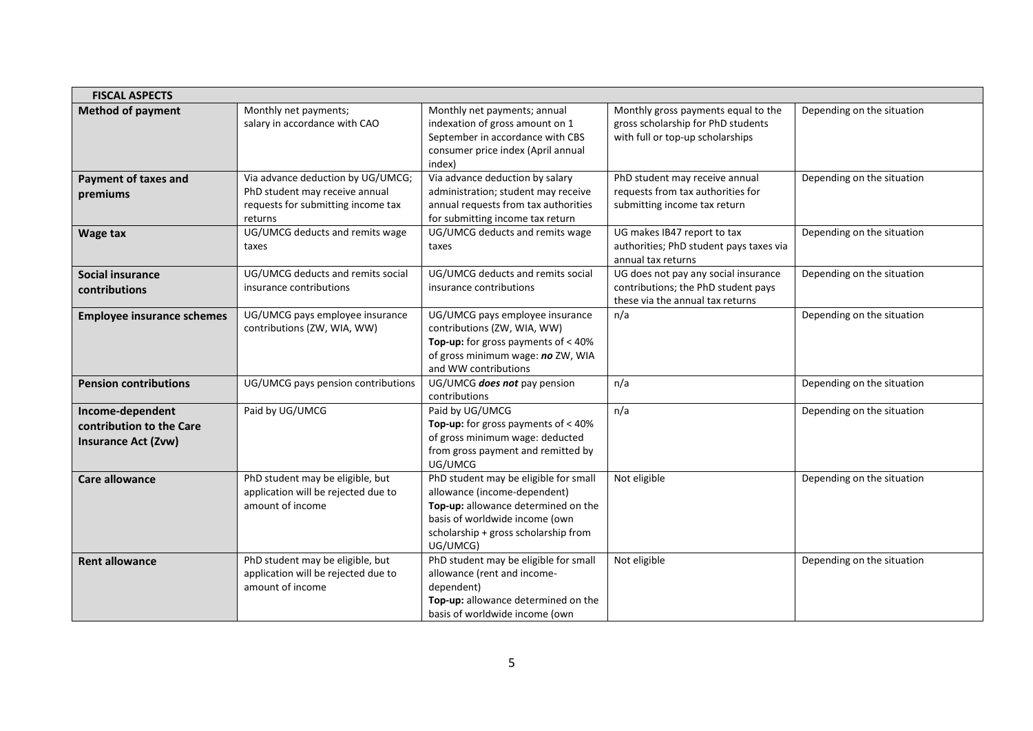| <b>FISCAL ASPECTS</b>                                                      |                                                                                                                      |                                                                                                                                                                                                    |                                                                                                                 |                            |
|----------------------------------------------------------------------------|----------------------------------------------------------------------------------------------------------------------|----------------------------------------------------------------------------------------------------------------------------------------------------------------------------------------------------|-----------------------------------------------------------------------------------------------------------------|----------------------------|
| <b>Method of payment</b>                                                   | Monthly net payments;<br>salary in accordance with CAO                                                               | Monthly net payments; annual<br>indexation of gross amount on 1<br>September in accordance with CBS<br>consumer price index (April annual<br>index)                                                | Monthly gross payments equal to the<br>gross scholarship for PhD students<br>with full or top-up scholarships   | Depending on the situation |
| <b>Payment of taxes and</b><br>premiums                                    | Via advance deduction by UG/UMCG;<br>PhD student may receive annual<br>requests for submitting income tax<br>returns | Via advance deduction by salary<br>administration; student may receive<br>annual requests from tax authorities<br>for submitting income tax return                                                 | PhD student may receive annual<br>requests from tax authorities for<br>submitting income tax return             | Depending on the situation |
| Wage tax                                                                   | UG/UMCG deducts and remits wage<br>taxes                                                                             | UG/UMCG deducts and remits wage<br>taxes                                                                                                                                                           | UG makes IB47 report to tax<br>authorities; PhD student pays taxes via<br>annual tax returns                    | Depending on the situation |
| Social insurance<br>contributions                                          | UG/UMCG deducts and remits social<br>insurance contributions                                                         | UG/UMCG deducts and remits social<br>insurance contributions                                                                                                                                       | UG does not pay any social insurance<br>contributions; the PhD student pays<br>these via the annual tax returns | Depending on the situation |
| <b>Employee insurance schemes</b>                                          | UG/UMCG pays employee insurance<br>contributions (ZW, WIA, WW)                                                       | UG/UMCG pays employee insurance<br>contributions (ZW, WIA, WW)<br>Top-up: for gross payments of $<$ 40%<br>of gross minimum wage: no ZW, WIA<br>and WW contributions                               | n/a                                                                                                             | Depending on the situation |
| <b>Pension contributions</b>                                               | UG/UMCG pays pension contributions                                                                                   | UG/UMCG does not pay pension<br>contributions                                                                                                                                                      | n/a                                                                                                             | Depending on the situation |
| Income-dependent<br>contribution to the Care<br><b>Insurance Act (Zvw)</b> | Paid by UG/UMCG                                                                                                      | Paid by UG/UMCG<br>Top-up: for gross payments of $<$ 40%<br>of gross minimum wage: deducted<br>from gross payment and remitted by<br>UG/UMCG                                                       | n/a                                                                                                             | Depending on the situation |
| <b>Care allowance</b>                                                      | PhD student may be eligible, but<br>application will be rejected due to<br>amount of income                          | PhD student may be eligible for small<br>allowance (income-dependent)<br>Top-up: allowance determined on the<br>basis of worldwide income (own<br>scholarship + gross scholarship from<br>UG/UMCG) | Not eligible                                                                                                    | Depending on the situation |
| <b>Rent allowance</b>                                                      | PhD student may be eligible, but<br>application will be rejected due to<br>amount of income                          | PhD student may be eligible for small<br>allowance (rent and income-<br>dependent)<br>Top-up: allowance determined on the<br>basis of worldwide income (own                                        | Not eligible                                                                                                    | Depending on the situation |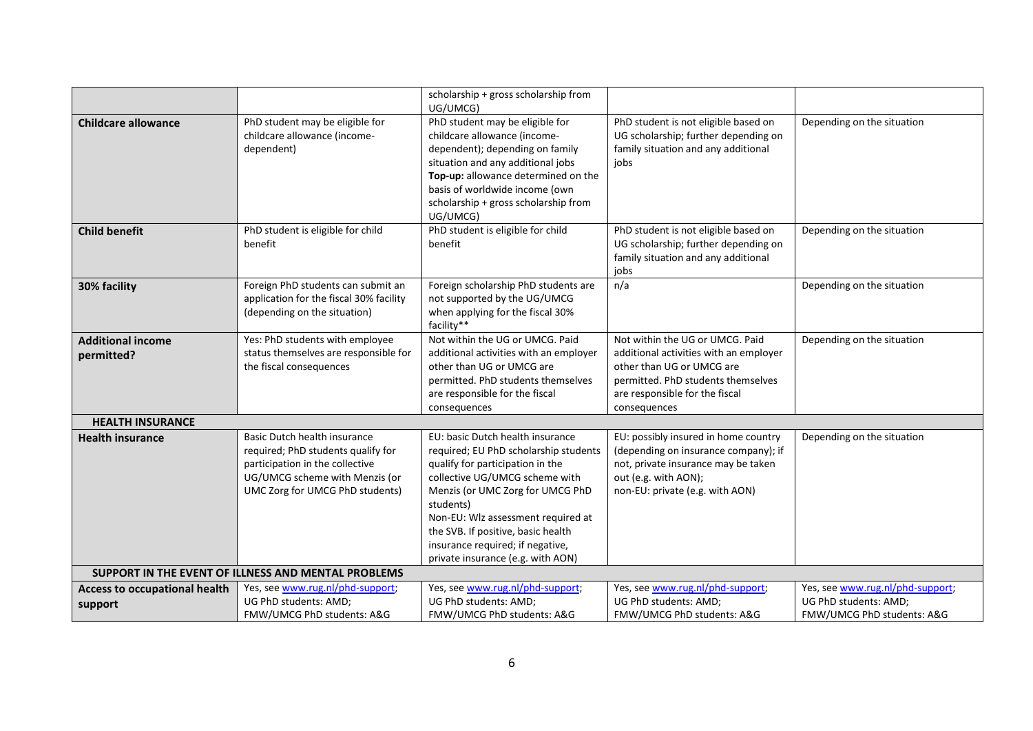|                                                     |                                                                               | scholarship + gross scholarship from                                 |                                                                             |                                  |  |
|-----------------------------------------------------|-------------------------------------------------------------------------------|----------------------------------------------------------------------|-----------------------------------------------------------------------------|----------------------------------|--|
|                                                     |                                                                               | UG/UMCG)                                                             |                                                                             |                                  |  |
| <b>Childcare allowance</b>                          | PhD student may be eligible for                                               | PhD student may be eligible for                                      | PhD student is not eligible based on                                        | Depending on the situation       |  |
|                                                     | childcare allowance (income-<br>dependent)                                    | childcare allowance (income-<br>dependent); depending on family      | UG scholarship; further depending on<br>family situation and any additional |                                  |  |
|                                                     |                                                                               | situation and any additional jobs                                    | jobs                                                                        |                                  |  |
|                                                     |                                                                               | Top-up: allowance determined on the                                  |                                                                             |                                  |  |
|                                                     |                                                                               | basis of worldwide income (own                                       |                                                                             |                                  |  |
|                                                     |                                                                               | scholarship + gross scholarship from                                 |                                                                             |                                  |  |
|                                                     |                                                                               | UG/UMCG)                                                             |                                                                             |                                  |  |
| <b>Child benefit</b>                                | PhD student is eligible for child                                             | PhD student is eligible for child                                    | PhD student is not eligible based on                                        | Depending on the situation       |  |
|                                                     | benefit                                                                       | benefit                                                              | UG scholarship; further depending on                                        |                                  |  |
|                                                     |                                                                               |                                                                      | family situation and any additional                                         |                                  |  |
|                                                     |                                                                               |                                                                      | jobs                                                                        |                                  |  |
| 30% facility                                        | Foreign PhD students can submit an<br>application for the fiscal 30% facility | Foreign scholarship PhD students are<br>not supported by the UG/UMCG | n/a                                                                         | Depending on the situation       |  |
|                                                     | (depending on the situation)                                                  | when applying for the fiscal 30%                                     |                                                                             |                                  |  |
|                                                     |                                                                               | facility**                                                           |                                                                             |                                  |  |
| <b>Additional income</b>                            | Yes: PhD students with employee                                               | Not within the UG or UMCG. Paid                                      | Not within the UG or UMCG. Paid                                             | Depending on the situation       |  |
| permitted?                                          | status themselves are responsible for                                         | additional activities with an employer                               | additional activities with an employer                                      |                                  |  |
|                                                     | the fiscal consequences                                                       | other than UG or UMCG are                                            | other than UG or UMCG are                                                   |                                  |  |
|                                                     |                                                                               | permitted. PhD students themselves                                   | permitted. PhD students themselves                                          |                                  |  |
|                                                     |                                                                               | are responsible for the fiscal                                       | are responsible for the fiscal                                              |                                  |  |
|                                                     |                                                                               | consequences                                                         | consequences                                                                |                                  |  |
| <b>HEALTH INSURANCE</b>                             |                                                                               |                                                                      |                                                                             |                                  |  |
| <b>Health insurance</b>                             | Basic Dutch health insurance                                                  | EU: basic Dutch health insurance                                     | EU: possibly insured in home country                                        | Depending on the situation       |  |
|                                                     | required; PhD students qualify for                                            | required; EU PhD scholarship students                                | (depending on insurance company); if                                        |                                  |  |
|                                                     | participation in the collective<br>UG/UMCG scheme with Menzis (or             | qualify for participation in the<br>collective UG/UMCG scheme with   | not, private insurance may be taken<br>out (e.g. with AON);                 |                                  |  |
|                                                     | UMC Zorg for UMCG PhD students)                                               | Menzis (or UMC Zorg for UMCG PhD                                     | non-EU: private (e.g. with AON)                                             |                                  |  |
|                                                     |                                                                               | students)                                                            |                                                                             |                                  |  |
|                                                     |                                                                               | Non-EU: Wlz assessment required at                                   |                                                                             |                                  |  |
|                                                     |                                                                               | the SVB. If positive, basic health                                   |                                                                             |                                  |  |
|                                                     |                                                                               | insurance required; if negative,                                     |                                                                             |                                  |  |
|                                                     |                                                                               | private insurance (e.g. with AON)                                    |                                                                             |                                  |  |
| SUPPORT IN THE EVENT OF ILLNESS AND MENTAL PROBLEMS |                                                                               |                                                                      |                                                                             |                                  |  |
| Access to occupational health                       | Yes, see www.rug.nl/phd-support;                                              | Yes, see www.rug.nl/phd-support;                                     | Yes, see www.rug.nl/phd-support;                                            | Yes, see www.rug.nl/phd-support; |  |
| support                                             | UG PhD students: AMD;                                                         | UG PhD students: AMD;                                                | UG PhD students: AMD;                                                       | UG PhD students: AMD;            |  |
|                                                     | FMW/UMCG PhD students: A&G                                                    | FMW/UMCG PhD students: A&G                                           | FMW/UMCG PhD students: A&G                                                  | FMW/UMCG PhD students: A&G       |  |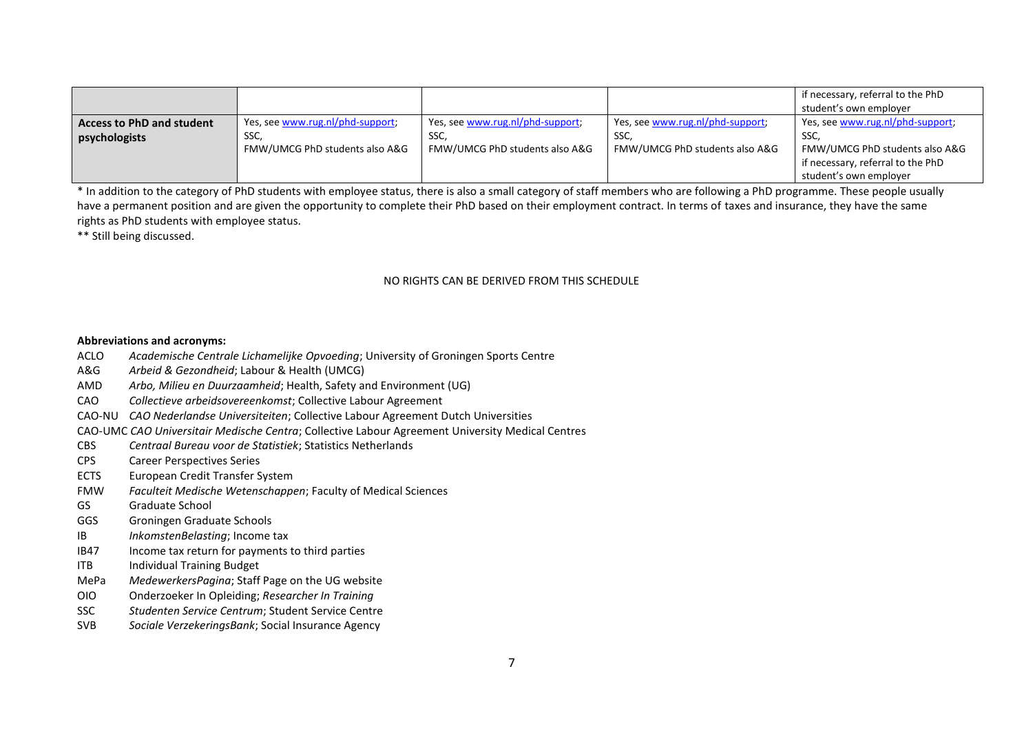|                                  |                                  |                                  |                                  | if necessary, referral to the PhD |
|----------------------------------|----------------------------------|----------------------------------|----------------------------------|-----------------------------------|
|                                  |                                  |                                  |                                  | student's own employer            |
| <b>Access to PhD and student</b> | Yes, see www.rug.nl/phd-support; | Yes, see www.rug.nl/phd-support; | Yes, see www.rug.nl/phd-support; | Yes, see www.rug.nl/phd-support;  |
| psychologists                    | SSC,                             | SSC,                             | SSC,                             | SSC.                              |
|                                  | FMW/UMCG PhD students also A&G   | FMW/UMCG PhD students also A&G   | FMW/UMCG PhD students also A&G   | FMW/UMCG PhD students also A&G    |
|                                  |                                  |                                  |                                  | if necessary, referral to the PhD |
|                                  |                                  |                                  |                                  | student's own employer            |

\* In addition to the category of PhD students with employee status, there is also a small category of staff members who are following a PhD programme. These people usually have a permanent position and are given the opportunity to complete their PhD based on their employment contract. In terms of taxes and insurance, they have the same rights as PhD students with employee status.

\*\* Still being discussed.

## NO RIGHTS CAN BE DERIVED FROM THIS SCHEDULE

## **Abbreviations and acronyms:**

- ACLO *Academische Centrale Lichamelijke Opvoeding*; University of Groningen Sports Centre
- A&G *Arbeid & Gezondheid*; Labour & Health (UMCG)
- AMD *Arbo, Milieu en Duurzaamheid*; Health, Safety and Environment (UG)
- CAO *Collectieve arbeidsovereenkomst*; Collective Labour Agreement
- CAO-NU *CAO Nederlandse Universiteiten*; Collective Labour Agreement Dutch Universities
- CAO-UMC *CAO Universitair Medische Centra*; Collective Labour Agreement University Medical Centres
- CBS *Centraal Bureau voor de Statistiek*; Statistics Netherlands
- CPS Career Perspectives Series
- ECTS European Credit Transfer System
- FMW *Faculteit Medische Wetenschappen*; Faculty of Medical Sciences
- GS Graduate School
- GGS Groningen Graduate Schools
- IB *InkomstenBelasting*; Income tax
- IB47 Income tax return for payments to third parties
- ITB Individual Training Budget
- MePa *MedewerkersPagina*; Staff Page on the UG website
- OIO Onderzoeker In Opleiding; *Researcher In Training*
- SSC *Studenten Service Centrum*; Student Service Centre
- SVB *Sociale VerzekeringsBank*; Social Insurance Agency